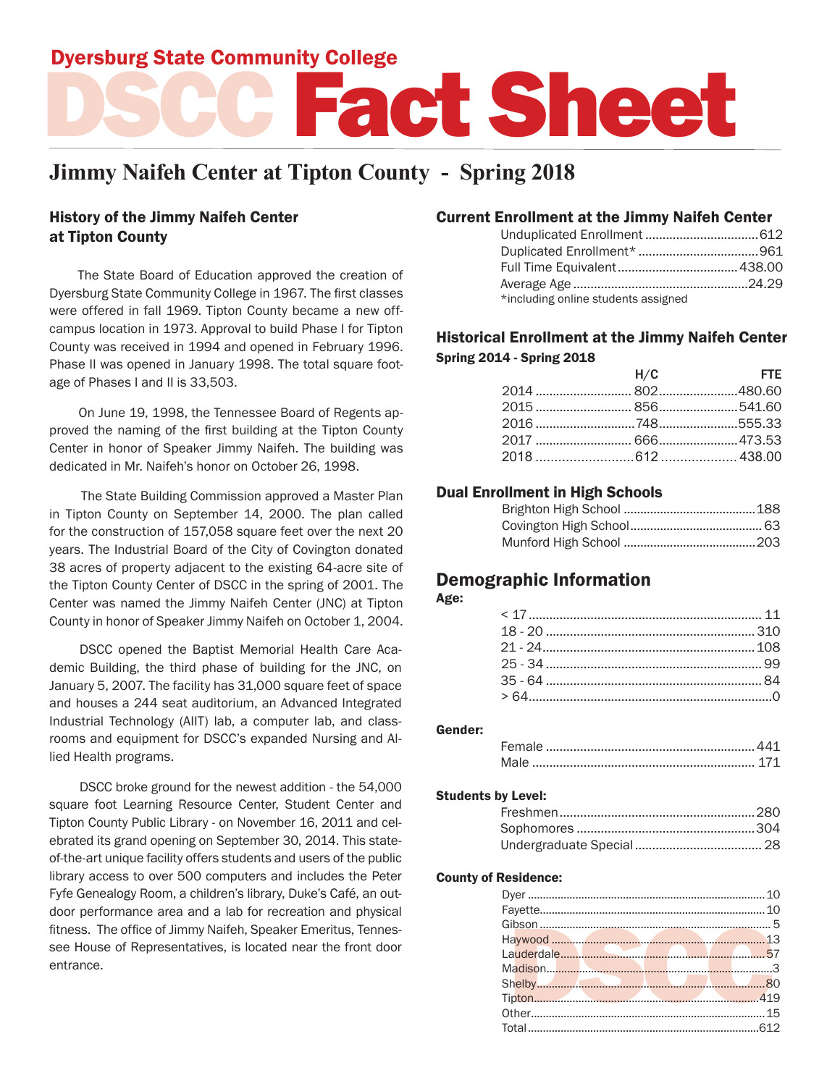## Dyersburg State Community College

# DSCC **Fact Shee**

## **Jimmy Naifeh Center at Tipton County - Spring 2018**

## History of the Jimmy Naifeh Center at Tipton County

 The State Board of Education approved the creation of Dyersburg State Community College in 1967. The first classes were offered in fall 1969. Tipton County became a new offcampus location in 1973. Approval to build Phase I for Tipton County was received in 1994 and opened in February 1996. Phase II was opened in January 1998. The total square footage of Phases I and II is 33,503.

 On June 19, 1998, the Tennessee Board of Regents approved the naming of the first building at the Tipton County Center in honor of Speaker Jimmy Naifeh. The building was dedicated in Mr. Naifeh's honor on October 26, 1998.

 The State Building Commission approved a Master Plan in Tipton County on September 14, 2000. The plan called for the construction of 157,058 square feet over the next 20 years. The Industrial Board of the City of Covington donated 38 acres of property adjacent to the existing 64-acre site of the Tipton County Center of DSCC in the spring of 2001. The Center was named the Jimmy Naifeh Center (JNC) at Tipton County in honor of Speaker Jimmy Naifeh on October 1, 2004.

DSCC opened the Baptist Memorial Health Care Academic Building, the third phase of building for the JNC, on January 5, 2007. The facility has 31,000 square feet of space and houses a 244 seat auditorium, an Advanced Integrated Industrial Technology (AIIT) lab, a computer lab, and classrooms and equipment for DSCC's expanded Nursing and Allied Health programs.

DSCC broke ground for the newest addition - the 54,000 square foot Learning Resource Center, Student Center and Tipton County Public Library - on November 16, 2011 and celebrated its grand opening on September 30, 2014. This stateof-the-art unique facility offers students and users of the public library access to over 500 computers and includes the Peter Fyfe Genealogy Room, a children's library, Duke's Café, an outdoor performance area and a lab for recreation and physical fitness. The office of Jimmy Naifeh, Speaker Emeritus, Tennessee House of Representatives, is located near the front door entrance.

### Current Enrollment at the Jimmy Naifeh Center

| *including online students assigned |  |
|-------------------------------------|--|

## Historical Enrollment at the Jimmy Naifeh Center Spring 2014 - Spring 2018

| H/C | <b>Example 20 FTE</b> |
|-----|-----------------------|
|     |                       |
|     |                       |
|     |                       |
|     |                       |
|     |                       |

## Dual Enrollment in High Schools

## Demographic Information

#### Age:

#### Gender:

#### Students by Level:

#### County of Residence: